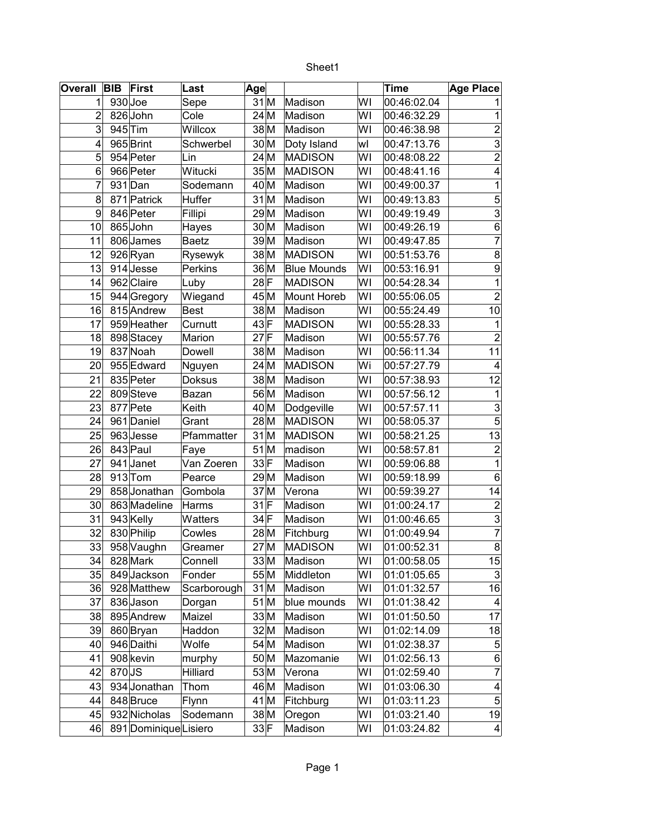Sheet1

| Overall        | <b>BIB</b> | First                 | Last          | Age    |                    |    | <b>Time</b> | <b>Age Place</b>        |
|----------------|------------|-----------------------|---------------|--------|--------------------|----|-------------|-------------------------|
| 1              | $930$ Joe  |                       | Sepe          | 31 M   | Madison            | WI | 00:46:02.04 | 1                       |
| $\overline{2}$ |            | 826 John              | Cole          | 24 M   | Madison            | WI | 00:46:32.29 | $\mathbf{1}$            |
| 3              | 945 Tim    |                       | Willcox       | 38 M   | Madison            | WI | 00:46:38.98 | $\overline{\mathbf{c}}$ |
| 4              |            | 965 Brint             | Schwerbel     | 30 M   | Doty Island        | wl | 00:47:13.76 | 3                       |
| 5              |            | 954 Peter             | Lin           | 24 M   | <b>MADISON</b>     | WI | 00:48:08.22 | $\overline{2}$          |
| $6 \,$         |            | 966 Peter             | Witucki       | 35 M   | <b>MADISON</b>     | WI | 00:48:41.16 | 4                       |
| $\overline{7}$ |            | 931 Dan               | Sodemann      | $40$ M | Madison            | WI | 00:49:00.37 | $\mathbf{1}$            |
| 8              |            | 871 Patrick           | Huffer        | 31 M   | Madison            | WI | 00:49:13.83 | 5                       |
| 9              |            | 846 Peter             | Fillipi       | 29 M   | Madison            | WI | 00:49:19.49 | 3                       |
| 10             |            | 865 John              | Hayes         | 30 M   | Madison            | WI | 00:49:26.19 | $\,6$                   |
| 11             |            | 806 James             | <b>Baetz</b>  | 39 M   | Madison            | WI | 00:49:47.85 | $\overline{7}$          |
| 12             |            | 926 Ryan              | Rysewyk       | 38 M   | <b>MADISON</b>     | WI | 00:51:53.76 | 8                       |
| 13             |            | $914$ Jesse           | Perkins       | 36 M   | <b>Blue Mounds</b> | WI | 00:53:16.91 | 9                       |
| 14             |            | 962 Claire            | Luby          | 28F    | <b>MADISON</b>     | WI | 00:54:28.34 | $\mathbf{1}$            |
| 15             |            | 944 Gregory           | Wiegand       | 45 M   | <b>Mount Horeb</b> | WI | 00:55:06.05 | $\boldsymbol{2}$        |
| 16             |            | 815 Andrew            | <b>Best</b>   | 38 M   | Madison            | WI | 00:55:24.49 | 10                      |
| 17             |            | 959 Heather           | Curnutt       | 43 F   | <b>MADISON</b>     | WI | 00:55:28.33 | $\mathbf{1}$            |
| 18             |            | 898 Stacey            | Marion        | $27$ F | Madison            | WI | 00:55:57.76 | $\boldsymbol{2}$        |
| 19             |            | 837 Noah              | Dowell        | 38 M   | Madison            | WI | 00:56:11.34 | 11                      |
| 20             |            | 955 Edward            | Nguyen        | 24 M   | <b>MADISON</b>     | Wi | 00:57:27.79 | $\overline{\mathbf{4}}$ |
| 21             |            | 835 Peter             | <b>Doksus</b> | 38 M   | Madison            | WI | 00:57:38.93 | 12                      |
| 22             |            | 809 Steve             | Bazan         | 56 M   | Madison            | WI | 00:57:56.12 | $\mathbf{1}$            |
| 23             |            | 877 Pete              | Keith         | 40 M   | Dodgeville         | WI | 00:57:57.11 | 3                       |
| 24             |            | 961 Daniel            | Grant         | 28 M   | <b>MADISON</b>     | WI | 00:58:05.37 | $\overline{5}$          |
| 25             |            | 963 Jesse             | Pfammatter    | 31 M   | <b>MADISON</b>     | WI | 00:58:21.25 | 13                      |
| 26             |            | 843 Paul              | Faye          | 51 M   | madison            | WI | 00:58:57.81 | $\overline{\mathbf{c}}$ |
| 27             |            | 941 Janet             | Van Zoeren    | 33 F   | Madison            | WI | 00:59:06.88 | $\mathbf{1}$            |
| 28             |            | $913$ Tom             | Pearce        | 29 M   | Madison            | WI | 00:59:18.99 | $\,6$                   |
| 29             |            | 858 Jonathan          | Gombola       | 37 M   | Verona             | WI | 00:59:39.27 | 14                      |
| 30             |            | 863 Madeline          | Harms         | $31$ F | Madison            | WI | 01:00:24.17 | $\overline{\mathbf{c}}$ |
| 31             |            | 943 Kelly             | Watters       | $34$ F | Madison            | WI | 01:00:46.65 | $rac{3}{7}$             |
| 32             |            | 830 Philip            | Cowles        | 28 M   | Fitchburg          | WI | 01:00:49.94 |                         |
| 33             |            | 958 Vaughn            | Greamer       | 27 M   | <b>MADISON</b>     | WI | 01:00:52.31 | 8                       |
| 34             |            | 828 Mark              | Connell       | 33 M   | Madison            | WI | 01:00:58.05 | 15                      |
| 35             |            | 849 Jackson           | Fonder        | 55 M   | Middleton          | WI | 01:01:05.65 | 3                       |
| 36             |            | 928 Matthew           | Scarborough   | 31 M   | Madison            | WI | 01:01:32.57 | 16                      |
| 37             |            | 836 Jason             | Dorgan        | $51$ M | blue mounds        | WI | 01:01:38.42 | $\overline{\mathbf{4}}$ |
| 38             |            | 895 Andrew            | Maizel        | 33 M   | Madison            | WI | 01:01:50.50 | 17                      |
| 39             |            | 860 Bryan             | Haddon        | 32 M   | Madison            | WI | 01:02:14.09 | 18                      |
| 40             |            | 946 Daithi            | Wolfe         | 54 M   | Madison            | WI | 01:02:38.37 | 5                       |
| 41             |            | 908 kevin             | murphy        | 50 M   | Mazomanie          | WI | 01:02:56.13 | 6                       |
| 42             | 870 JS     |                       | Hilliard      | 53 M   | Verona             | WI | 01:02:59.40 | $\overline{7}$          |
| 43             |            | 934 Jonathan          | Thom          | 46 M   | Madison            | WI | 01:03:06.30 | 4                       |
| 44             |            | 848 Bruce             | Flynn         | 41 M   | Fitchburg          | WI | 01:03:11.23 | 5                       |
| 45             |            | 932 Nicholas          | Sodemann      | 38 M   | Oregon             | WI | 01:03:21.40 | 19                      |
| 46             |            | 891 Dominique Lisiero |               | 33 F   | Madison            | WI | 01:03:24.82 | 4                       |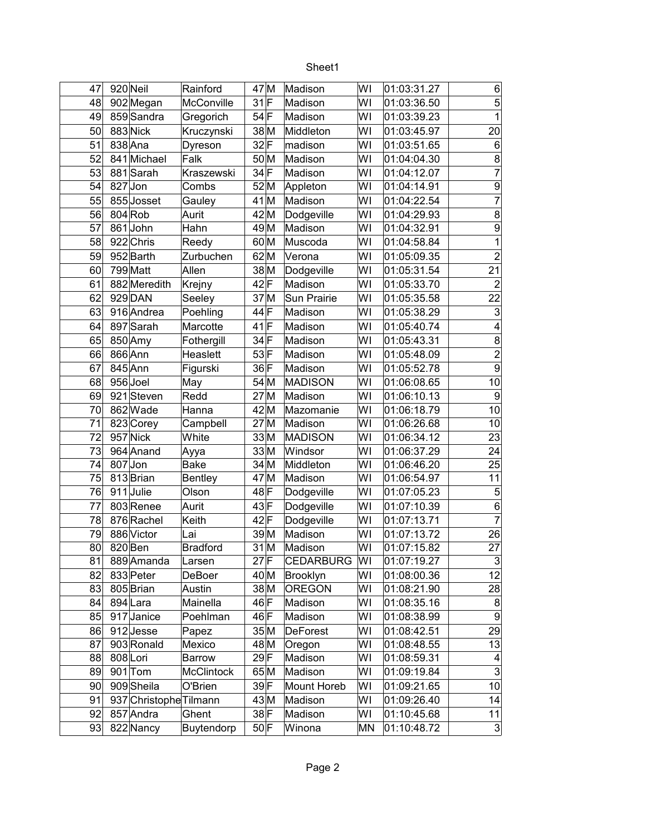| 47        | 920 Neil               | Rainford        | $47$ M        |      | Madison                     | WI       | 01:03:31.27                | 6              |
|-----------|------------------------|-----------------|---------------|------|-----------------------------|----------|----------------------------|----------------|
| 48        | 902 Megan              | McConville      | $31$ F        |      | Madison                     | WI       | 01:03:36.50                | 5              |
| 49        | 859 Sandra             | Gregorich       | $54$ F        |      | Madison                     | WI       | 01:03:39.23                | $\mathbf{1}$   |
| 50        | 883 Nick               | Kruczynski      | 38 M          |      | Middleton                   | WI       | 01:03:45.97                | 20             |
| 51        | 838 Ana                | Dyreson         | $32$ F        |      | madison                     | WI       | 01:03:51.65                | 6              |
| 52        | 841 Michael            | Falk            | 50 M          |      | Madison                     | WI       | 01:04:04.30                | 8              |
| 53        | 881 Sarah              | Kraszewski      | $34$ F        |      | Madison                     | WI       | 01:04:12.07                | $\overline{7}$ |
| 54        | 827Jon                 | Combs           | 52 M          |      | Appleton                    | WI       | 01:04:14.91                | $\overline{9}$ |
| 55        | 855 Josset             | Gauley          | $41$ M        |      | Madison                     | WI       | 01:04:22.54                | 7              |
| 56        | 804 Rob                | Aurit           | 42 M          |      | Dodgeville                  | WI       | 01:04:29.93                | 8              |
| 57        | 861 John               | Hahn            | 49 M          |      | Madison                     | WI       | 01:04:32.91                | 9              |
| 58        | 922 Chris              | Reedy           | 60 M          |      | Muscoda                     | WI       | 01:04:58.84                | $\mathbf{1}$   |
| 59        | 952 Barth              | Zurbuchen       | 62 M          |      | Verona                      | WI       | 01:05:09.35                | $\overline{c}$ |
| 60        | 799 Matt               | Allen           | 38 M          |      | Dodgeville                  | WI       | 01:05:31.54                | 21             |
| 61        | 882 Meredith           | Krejny          | 42 F          |      | Madison                     | WI       | 01:05:33.70                | $\overline{c}$ |
| 62        | 929 DAN                | Seeley          | 37 M          |      | Sun Prairie                 | WI       | 01:05:35.58                | 22             |
| 63        | 916 Andrea             | Poehling        | 44F           |      | Madison                     | WI       | 01:05:38.29                | 3              |
| 64        | 897 Sarah              | Marcotte        | $41$ F        |      | Madison                     | WI       | 01:05:40.74                | 4              |
| 65        | 850 Amy                | Fothergill      | $34$ F        |      | Madison                     | WI       | 01:05:43.31                | 8              |
| 66        | 866 Ann                | Heaslett        | $53$ F        |      | Madison                     | WI       | 01:05:48.09                | $\overline{c}$ |
| 67        | 845 Ann                | Figurski        | 36 F          |      | Madison                     | WI       | 01:05:52.78                | 9              |
| 68        | 956Joel                | May             | 54 M          |      | <b>MADISON</b>              | WI       | 01:06:08.65                | 10             |
| 69        | 921 Steven             | Redd            | 27 M          |      | Madison                     | WI       | 01:06:10.13                | 9              |
| 70        | 862 Wade               | Hanna           | 42 M          |      | Mazomanie                   | WI       | 01:06:18.79                | 10             |
| 71        | 823 Corey              | Campbell        | 27 M          |      | Madison                     | WI       | 01:06:26.68                | 10             |
| 72        | 957 Nick               | White           | 33 M          |      | <b>MADISON</b>              | WI       | 01:06:34.12                | 23             |
| 73        | 964 Anand              | Ayya            | 33 M          |      | Windsor                     | WI       | 01:06:37.29                | 24             |
| 74        | 807Jon                 | <b>Bake</b>     | 34 M          |      | Middleton                   | WI       | 01:06:46.20                | 25             |
| 75        | 813 Brian              | Bentley         | 47 M          |      | Madison                     | WI       | 01:06:54.97                | 11             |
| 76        | 911 Julie              | Olson           | 48F<br>$43$ F |      | Dodgeville                  | WI       | 01:07:05.23                | 5              |
| 77        | 803 Renee              | Aurit           | $42$ F        |      | Dodgeville                  | WI       | 01:07:10.39                | 6              |
| 78        | 876 Rachel             | Keith           |               |      | Dodgeville                  | WI       | 01:07:13.71                | $\overline{7}$ |
| 79        | 886 Victor             | Lai<br>Bradford | 39 M          |      | Madison                     | WI       | 01:07:13.72                | 26<br>27       |
| 80 <br>81 | 820 Ben<br>889 Amanda  | Larsen          | $27$ $F$      | 31 M | Madison<br><b>CEDARBURG</b> | WI<br>WI | 01:07:15.82<br>01:07:19.27 | 3              |
| 82        | 833 Peter              | DeBoer          | 40 M          |      | Brooklyn                    | W١       | 01:08:00.36                | 12             |
| 83        | 805 Brian              | Austin          | 38 M          |      | OREGON                      | WI       | 01:08:21.90                | 28             |
| 84        | 894 Lara               | Mainella        | 46 F          |      | Madison                     | WI       | 01:08:35.16                | 8              |
| 85        | 917 Janice             | Poehlman        | 46 F          |      | Madison                     | WI       | 01:08:38.99                | 9              |
| 86        | 912Jesse               | Papez           | 35 M          |      | <b>DeForest</b>             | WI       | 01:08:42.51                | 29             |
| 87        | 903 Ronald             | Mexico          | $48$ M        |      | Oregon                      | WI       | 01:08:48.55                | 13             |
| 88        | 808 Lori               | <b>Barrow</b>   | $29$ F        |      | Madison                     | WI       | 01:08:59.31                | 4              |
| 89        | $901$ Tom              | McClintock      | 65 M          |      | Madison                     | WI       | 01:09:19.84                | 3              |
| 90        | 909 Sheila             | O'Brien         | $39$ F        |      | Mount Horeb                 | WI       | 01:09:21.65                | 10             |
| 91        | 937 Christophe Tilmann |                 | 43 M          |      | Madison                     | WI       | 01:09:26.40                | 14             |
| 92        | 857 Andra              | Ghent           | $38$ F        |      | Madison                     | W١       | 01:10:45.68                | 11             |
| 93        | 822 Nancy              | Buytendorp      | 50 F          |      | Winona                      | MN       | 01:10:48.72                | 3              |
|           |                        |                 |               |      |                             |          |                            |                |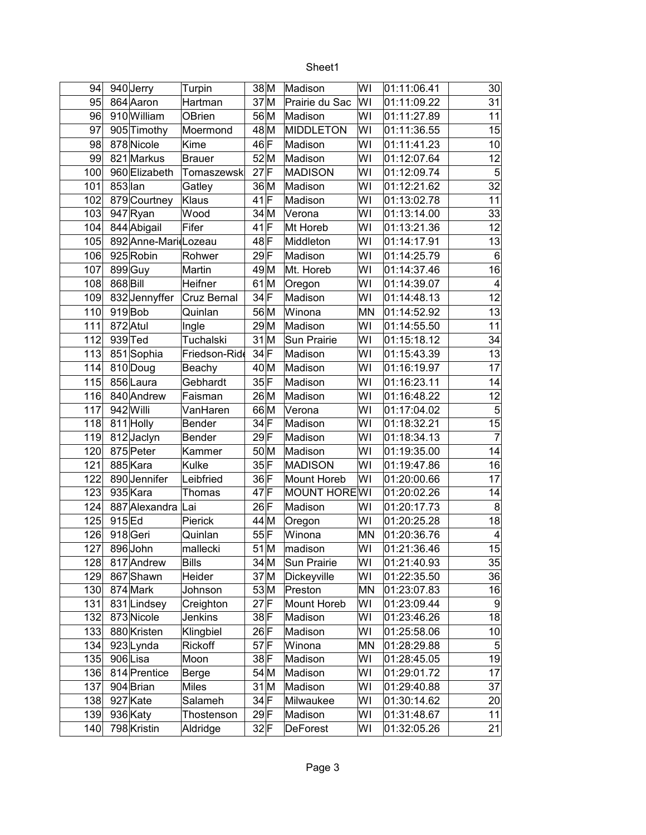| 94         |          | 940 Jerry                     | Turpin             | $\overline{38}$ M |      | Madison                        | WI        | 01:11:06.41                | 30                            |
|------------|----------|-------------------------------|--------------------|-------------------|------|--------------------------------|-----------|----------------------------|-------------------------------|
| 95         |          | 864 Aaron                     | Hartman            | 37 M              |      | Prairie du Sac                 | WI        | 01:11:09.22                | 31                            |
| 96         |          | 910 William                   | OBrien             | 56 M              |      | Madison                        | WI        | 01:11:27.89                | 11                            |
| 97         |          | 905 Timothy                   | Moermond           | 48 M              |      | MIDDLETON                      | WI        | 01:11:36.55                | 15                            |
| 98         |          | 878 Nicole                    | Kime               | 46F               |      | Madison                        | WI        | 01:11:41.23                | 10                            |
| 99         |          | 821 Markus                    | <b>Brauer</b>      | 52 M              |      | Madison                        | WI        | 01:12:07.64                | 12                            |
| 100        |          | 960 Elizabeth                 | Tomaszewski        | $27$ F            |      | <b>MADISON</b>                 | WI        | 01:12:09.74                | $\overline{5}$                |
| 101        | 853 lan  |                               | Gatley             | 36 M              |      | Madison                        | W١        | 01:12:21.62                | 32                            |
| 102        |          | 879 Courtney                  | Klaus              | $41$ F            |      | Madison                        | WI        | 01:13:02.78                | 11                            |
| 103        |          | 947 Ryan                      | Wood               | 34 M              |      | Verona                         | WI        | 01:13:14.00                | 33                            |
| 104        |          | 844 Abigail                   | Fifer              | $41$ F            |      | Mt Horeb                       | W١        | 01:13:21.36                | 12                            |
| 105        |          | 892 Anne-Mari Lozeau          |                    | $48$ F            |      | Middleton                      | W١        | 01:14:17.91                | 13                            |
| 106        |          | 925 Robin                     | Rohwer             | $29$ F            |      | Madison                        | W١        | 01:14:25.79                | $\boldsymbol{6}$              |
| 107        |          | 899 Guy                       | Martin             | 49 M              |      | Mt. Horeb                      | WI        | 01:14:37.46                | 16                            |
| 108        | 868 Bill |                               | Heifner            | $61$ M            |      | Oregon                         | WI        | 01:14:39.07                | $\overline{\mathbf{4}}$       |
| 109        |          | 832 Jennyffer                 | Cruz Bernal        | $34$ F            |      | Madison                        | WI        | 01:14:48.13                | 12                            |
| 110        |          | $919$ Bob                     | Quinlan            | 56 M              |      | Winona                         | <b>MN</b> | 01:14:52.92                | 13                            |
| 111        |          | 872 Atul                      | Ingle              | 29 M              |      | Madison                        | W١        | 01:14:55.50                | 11                            |
| 112        |          | $939$ Ted                     | Tuchalski          | $31$ M            |      | Sun Prairie                    | WI        | 01:15:18.12                | 34                            |
| 113        |          | 851 Sophia                    | Friedson-Ride      | $34$ F            |      | Madison                        | WI        | 01:15:43.39                | 13                            |
| 114        |          | 810 Doug                      | Beachy             | 40 M              |      | Madison                        | WI        | 01:16:19.97                | 17                            |
| 115        |          | 856 Laura                     | Gebhardt           | 35 F              |      | Madison                        | W١        | 01:16:23.11                | 14                            |
| 116        |          | 840 Andrew                    | Faisman            | 26 M              |      | Madison                        | W١        | 01:16:48.22                | 12                            |
| 117        |          | 942 Willi                     | VanHaren           | 66 M              |      | Verona                         | WI        | 01:17:04.02                | 5                             |
| 118        |          | 811 Holly                     | Bender             | $34$ F            |      | Madison                        | W١        | 01:18:32.21                | 15                            |
| 119        |          | 812 Jaclyn                    | <b>Bender</b>      | $29$ F            |      | Madison                        | WI        | 01:18:34.13                | $\overline{7}$                |
| 120        |          | 875 Peter                     | Kammer             | 50 M              |      | Madison                        | W١        | 01:19:35.00                | 14                            |
| 121        |          | 885 Kara                      | Kulke              | 35 F              |      | <b>MADISON</b>                 | WI        | 01:19:47.86                | 16                            |
| 122        |          | 890 Jennifer                  | Leibfried          | 36 F              |      | Mount Horeb                    | WI        | 01:20:00.66                | 17                            |
| 123<br>124 |          | 935 Kara<br>887 Alexandra Lai | Thomas             | $47$ F<br>26 F    |      | <b>MOUNT HOREWI</b><br>Madison | W١        | 01:20:02.26                | 14<br>8                       |
|            | 915 Ed   |                               |                    | $44$ M            |      |                                | WI        | 01:20:17.73<br>01:20:25.28 |                               |
| 125<br>126 |          | 918Geri                       | Pierick<br>Quinlan | $55$ F            |      | Oregon<br>Winona               | MN        | 01:20:36.76                | 18<br>$\overline{\mathbf{4}}$ |
| 127        |          |                               |                    |                   | 51 M |                                | WI        |                            | 15                            |
| 128        |          | 896 John<br>817 Andrew        | mallecki<br>Bills  |                   | 34 M | madison<br>Sun Prairie         | WI        | 01:21:36.46<br>01:21:40.93 | 35                            |
| 129        |          | 867 Shawn                     | Heider             | 37 M              |      | Dickeyville                    | WI        | 01:22:35.50                | 36                            |
| 130        |          | 874 Mark                      | Johnson            | 53 M              |      | Preston                        | MN        | 01:23:07.83                | 16                            |
| 131        |          | 831 Lindsey                   | Creighton          | $27$ F            |      | <b>Mount Horeb</b>             | W١        | 01:23:09.44                | 9                             |
| 132        |          | 873 Nicole                    | Jenkins            | $38$ F            |      | Madison                        | W١        | 01:23:46.26                | 18                            |
| 133        |          | 880 Kristen                   | Klingbiel          | 26 F              |      | Madison                        | W١        | 01:25:58.06                | 10                            |
| 134        |          | 923Lynda                      | Rickoff            | $57$ F            |      | Winona                         | MN        | 01:28:29.88                | 5                             |
| 135        |          | 906 Lisa                      | Moon               | $38$ F            |      | Madison                        | W١        | 01:28:45.05                | 19                            |
| 136        |          | 814 Prentice                  | Berge              | 54 M              |      | Madison                        | W١        | 01:29:01.72                | 17                            |
| 137        |          | 904 Brian                     | <b>Miles</b>       | 31 M              |      | Madison                        | WI        | 01:29:40.88                | 37                            |
| 138        |          | 927 Kate                      | Salameh            | $34$ F            |      | Milwaukee                      | W١        | 01:30:14.62                | 20                            |
| 139        |          | 936 Katy                      | Thostenson         | $29$ F            |      | Madison                        | W١        | 01:31:48.67                | 11                            |
| 140        |          | 798 Kristin                   | Aldridge           | 32 F              |      | <b>DeForest</b>                | WI        | 01:32:05.26                | 21                            |
|            |          |                               |                    |                   |      |                                |           |                            |                               |